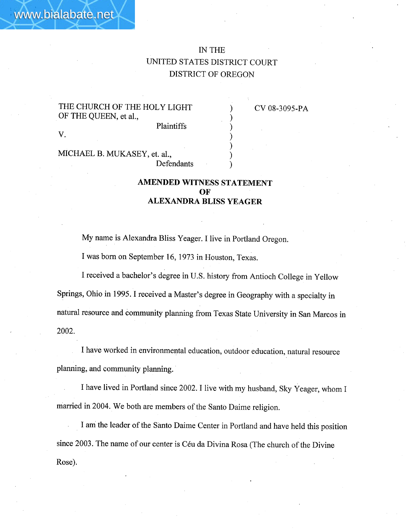) ) ) ) ) ) )

THE CHURCH OF THE HOLY LIGHT OF THE QUEEN, et aI.,

www.bialabate.net

v.

CV 08-3095~PA

Plaintiffs

MICHAEL B. MUKASEY, et. aI., Defendants

## AMENDED WITNESS STATEMENT OF ALEXANDRA BLISS YEAGER

My name is Alexandra Bliss Yeager. I live in Portland Oregon.

I was born on September 16, 1973 in Houston, Texas.

I received a bachelor's degree in U.S. history from Antioch College in Yellow Springs, Ohio in 1995. I received a Master's degree in Geography with a specialty in natural resource and community planning from Texas State University in San Marcos in 2002.

I have worked in environmental education, outdoor education, natural resource planning, and community planing. .

I have lived in Portland since 2002. I live with my husband, Sky Yeager, whom I married in 2004. We both are members of the Santo Daime religion.

I ani the leader of the Santo Daime Center in Portland and have held this position since 2003. The name of our center is Céu da Divina Rosa (The church of the Divine Rose).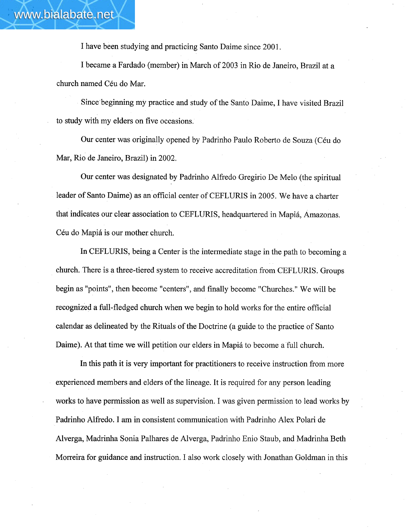I have been studying and practicing Santo Daime since 2001.

I became a Fardado (member) in March of 2003 in Rio de Janeiro, Brazil at a church named Céu do Mar.

Since'beginning my practice and study of the Santo Daime, I have visited Brazil to study with my elders on five occasions.

Our center was originally opened by Padrinho Paulo Roberto de Souza (Céu do Mar, Rio de Janeiro, Brazil) in 2002.

Our center was designated by Padrinho Alfredo Gregirio De Melo (the spiritual leader of Santo Daime) as an official center of CEFLURIS in 2005. We have a charter that indicates our clear association to CEFLURIS, headquartered in Mapiá, Amazonas. Céu do Mapiá is our mother church.

In CEFLURIS, being a Center is the intermediate stage in the path to becoming a church. There is a three-tiered system to receive accreditation from CEFLURIS. Groups begin as "points", then become "centers", and finally become "Churches." We wil be recognized a full-fledged church when we begin to hold works for the entire official calendar as delineated by the Rituals of the Doctrine (a guide to the practice of Santo Daime). At that time we will petition our elders in Mapiá to become a full church.

In this path it is very important for practitioners to receive instruction from more experienced members and elders of the lineage. It is required for any person leading works to have permission as well as supervision. I was given permission to lead works by Padrinho Alfredo. I am in consistent communication with Padrinho Alex Polari de Alverga, Madrinha Sonia Palhares de Alverga, Padrinho Enio Staub, and Madrinha Beth Morreira for guidance and instruction. I also work closely with Jonathan Goldman in this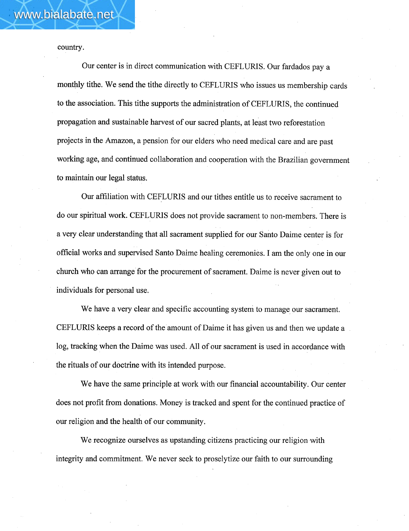country.

Our center is in direct communication with CEFLURIS. Our fardados pay a monthly tithe. We send the tithe directly to CEFLURIS who issues us membership cards to the association. This tithe supports the administration of CEFLURIS, the continued propagation and sustainable harvest of our sacred plants, at least two reforestation projects in the Amazon, a pension for our elders who need medical care and are past working age, and continued collaboration and cooperation with the Brazilian government to maintain our legal status.

Our affliation with CEFLURIS and our tithes entitle us to receive sacrament to do our spiritual work. CEFLURIS does not provide sacrament to non~members. There is a very clear understanding that all sacrament supplied for our Santo Daime center is for official works and supervised Santo Daime healing ceremonies. I am the only one in our church who can arrange for the procurement of sacrament. Daime is never given out to individuals for personal use.

We have a very clear and specific accounting system to manage our sacrament. CEFLURIS keeps a record of the amount of Daime it has given us and then we update a log, tracking when the Daime was used. All of our sacrament is used in accordance with the rituals of our doctrine with its intended purpose.

We have the same principle at work with our financial accountabilty. Our center does not profit from donations. Money is tracked and spent for the continued practice of our religion and the health of our community.

We recognize ourselves as upstanding citizens practicing our religion with integrity and commitment. We never seek to proselytize our faith to our surrounding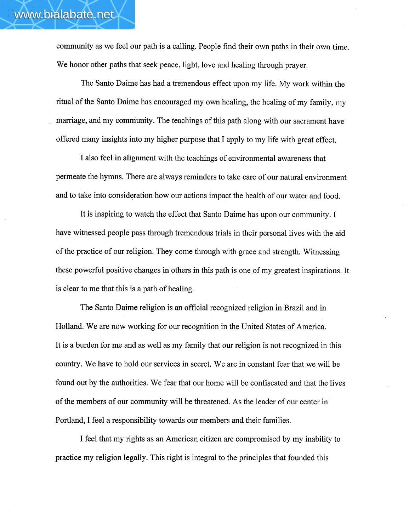community as we feel our path is a calling. People find their own paths in their own time. We honor other paths that seek peace, light, love and healing through prayer.

The Santo Daime has had a tremendous effect upon my life. My work within the ritual of the Santo Daime has encouraged my own healing, the healing of my family, my mariage, and my community. The teachings of this path along with our sacrament have offered many insights into my higher purpose that I apply to my life with great effect.

I also feel in alignment with the teachings of environmental awareness that permeate the hymns. There are always reminders to take care of our natural environment and to take into consideration how our actions impact the health of our water and food.

It is inspiring to watch the effect that Santo Daime has upon our community. I have witnessed people pass through tremendous trials in their personal lives with the aid of the practice of our religion. They come through with grace and strength. Witnessing these powerful positive changes in others in this path is one of my greatest inspirations. It is clear to me that this is a path of healing.

The Santo Daime religion is an official recognized religion in Brazil and in Holland. We are now working for our recognition in the United States of America. It is a burden for me and as well as my family that our religion is not recognized in this country. We have to hold our services in secret. We are in constant fear that we wil be found out by the authorities. We fear that our home will be confiscated and that the lives of the members of our community wil be threatened. As the leader of our center in Portland, I feel a responsibilty towards our members and their familes.

I feel that my rights as an American citizen are compromised by my inabilty to practice my religion legally. This right is integral to the principles that founded this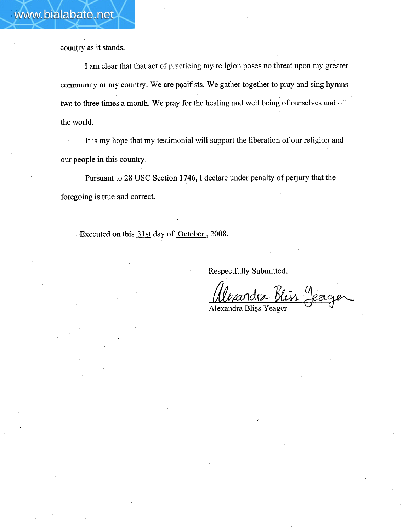country as it stands.

I am clear that that act of practicing my religion poses no threat upon my greater community or my country. We are pacifists. We gather together to pray and sing hymns two to three times a month. We pray for the healing and well being of ourselves and of the world.

It is my hope that my testimonial will support the liberation of our religion and our people in this country.

Pursuant to 28 USC Section 1746, I declare under penalty of perjury that the foregoing is true and correct.

Executed on this 31st day of October, 2008.

Respectfully Submitted,

<u>Mexandra Kein</u> Jeager